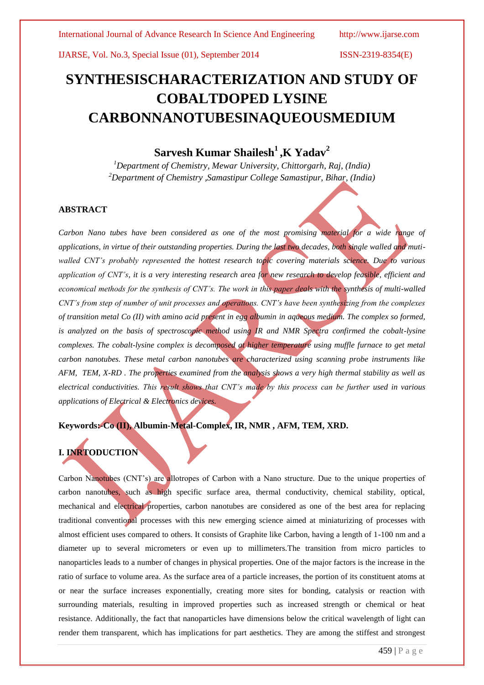# **SYNTHESISCHARACTERIZATION AND STUDY OF COBALTDOPED LYSINE CARBONNANOTUBESINAQUEOUSMEDIUM**

# **Sarvesh Kumar Shailesh<sup>1</sup>,K Yadav<sup>2</sup>**

*<sup>1</sup>Department of Chemistry, Mewar University, Chittorgarh, Raj, (India) <sup>2</sup>Department of Chemistry ,Samastipur College Samastipur, Bihar, (India)*

#### **ABSTRACT**

Carbon Nano tubes have been considered as one of the most promising material for a wide range of *applications, in virtue of their outstanding properties. During the last two decades, both single walled and mutiwalled CNT's probably represented the hottest research topic covering materials science. Due to various application of CNT's, it is a very interesting research area for new research to develop feasible, efficient and economical methods for the synthesis of CNT's. The work in this paper deals with the synthesis of multi-walled CNT's from step of number of unit processes and operations. CNT's have been synthesizing from the complexes of transition metal Co (II) with amino acid present in egg albumin in aqueous medium. The complex so formed, is analyzed on the basis of spectroscopic method using IR and NMR Spectra confirmed the cobalt-lysine complexes. The cobalt-lysine complex is decomposed at higher temperature using muffle furnace to get metal carbon nanotubes. These metal carbon nanotubes are characterized using scanning probe instruments like AFM, TEM, X-RD . The properties examined from the analysis shows a very high thermal stability as well as electrical conductivities. This result shows that CNT's made by this process can be further used in various applications of Electrical & Electronics devices.*

### **Keywords:-Co (II), Albumin-Metal-Complex, IR, NMR , AFM, TEM, XRD.**

## **I. INRTODUCTION**

Carbon Nanotubes (CNT's) are allotropes of Carbon with a Nano structure. Due to the unique properties of carbon nanotubes, such as high specific surface area, thermal conductivity, chemical stability, optical, mechanical and electrical properties, carbon nanotubes are considered as one of the best area for replacing traditional conventional processes with this new emerging science aimed at miniaturizing of processes with almost efficient uses compared to others. It consists of Graphite like Carbon, having a length of 1-100 nm and a diameter up to several micrometers or even up to millimeters.The transition from micro particles to nanoparticles leads to a number of changes in physical properties. One of the major factors is the increase in the ratio of surface to volume area. As the surface area of a particle increases, the portion of its constituent atoms at or near the surface increases exponentially, creating more sites for bonding, catalysis or reaction with surrounding materials, resulting in improved properties such as increased strength or chemical or heat resistance. Additionally, the fact that nanoparticles have dimensions below the critical wavelength of light can render them transparent, which has implications for part aesthetics. They are among the stiffest and strongest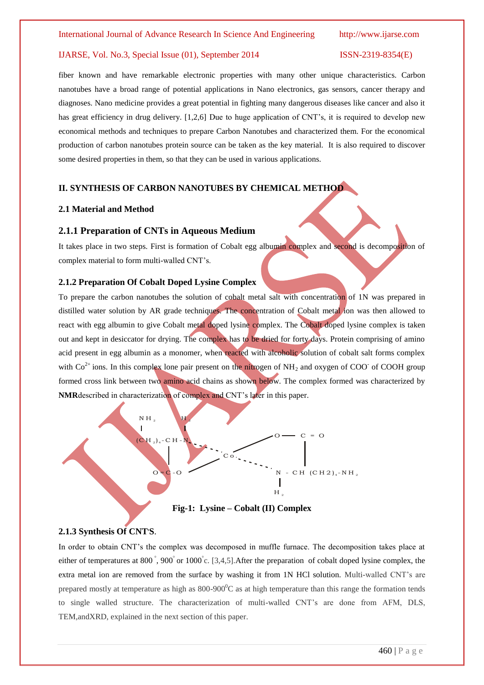fiber known and have remarkable electronic properties with many other unique characteristics. Carbon nanotubes have a broad range of potential applications in Nano electronics, gas sensors, cancer therapy and diagnoses. Nano medicine provides a great potential in fighting many dangerous diseases like cancer and also it has great efficiency in drug delivery. [1,2,6] Due to huge application of CNT's, it is required to develop new economical methods and techniques to prepare Carbon Nanotubes and characterized them. For the economical production of carbon nanotubes protein source can be taken as the key material. It is also required to discover some desired properties in them, so that they can be used in various applications.

#### **II. SYNTHESIS OF CARBON NANOTUBES BY CHEMICAL METHOD**

#### **2.1 Material and Method**

#### **2.1.1 Preparation of CNTs in Aqueous Medium**

It takes place in two steps. First is formation of Cobalt egg albumin complex and second is decomposition of complex material to form multi-walled CNT's.

#### **2.1.2 Preparation Of Cobalt Doped Lysine Complex**

To prepare the carbon nanotubes the solution of cobalt metal salt with concentration of 1N was prepared in distilled water solution by AR grade techniques. The concentration of Cobalt metal ion was then allowed to react with egg albumin to give Cobalt metal doped lysine complex. The Cobalt doped lysine complex is taken out and kept in desiccator for drying. The complex has to be dried for forty days. Protein comprising of amino acid present in egg albumin as a monomer, when reacted with alcoholic solution of cobalt salt forms complex with  $Co^{2+}$  ions. In this complex lone pair present on the nitrogen of NH<sub>2</sub> and oxygen of COO<sup>-</sup> of COOH group formed cross link between two amino acid chains as shown below. The complex formed was characterized by





### **2.1.3 Synthesis Of CNT, S**.

In order to obtain CNT's the complex was decomposed in muffle furnace. The decomposition takes place at either of temperatures at 800<sup>°</sup>, 900<sup>°</sup> or 1000<sup>°</sup> c. [3,4,5]. After the preparation of cobalt doped lysine complex, the extra metal ion are removed from the surface by washing it from 1N HCl solution. Multi-walled CNT's are prepared mostly at temperature as high as  $800-900^{\circ}$ C as at high temperature than this range the formation tends to single walled structure. The characterization of multi-walled CNT's are done from AFM, DLS, TEM,andXRD, explained in the next section of this paper.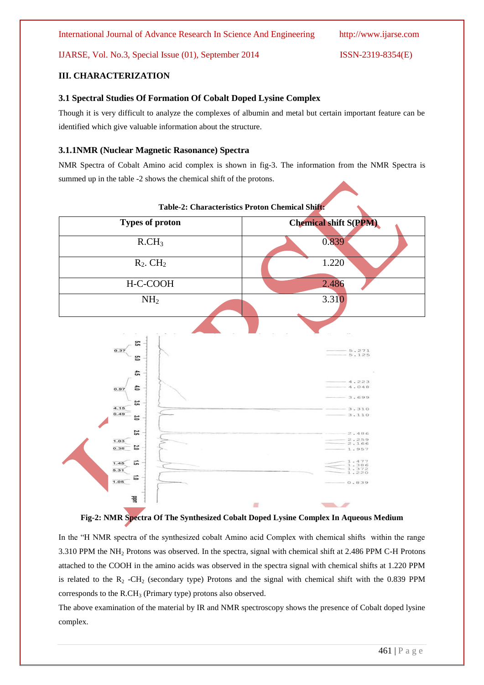International Journal of Advance Research In Science And Engineering http://www.ijarse.com

IJARSE, Vol. No.3, Special Issue (01), September 2014 ISSN-2319-8354(E)

### **III. CHARACTERIZATION**

#### **3.1 Spectral Studies Of Formation Of Cobalt Doped Lysine Complex**

Though it is very difficult to analyze the complexes of albumin and metal but certain important feature can be identified which give valuable information about the structure.

#### **3.1.1NMR (Nuclear Magnetic Rasonance) Spectra**

NMR Spectra of Cobalt Amino acid complex is shown in fig-3. The information from the NMR Spectra is summed up in the table -2 shows the chemical shift of the protons.



#### **Table-2: Characteristics Proton Chemical Shift:**

**Fig-2: NMR Spectra Of The Synthesized Cobalt Doped Lysine Complex In Aqueous Medium**

In the "H NMR spectra of the synthesized cobalt Amino acid Complex with chemical shifts within the range 3.310 PPM the NH<sup>2</sup> Protons was observed. In the spectra, signal with chemical shift at 2.486 PPM C-H Protons attached to the COOH in the amino acids was observed in the spectra signal with chemical shifts at 1.220 PPM is related to the  $R_2$  -CH<sub>2</sub> (secondary type) Protons and the signal with chemical shift with the 0.839 PPM corresponds to the  $R.CH<sub>3</sub>$  (Primary type) protons also observed.

The above examination of the material by IR and NMR spectroscopy shows the presence of Cobalt doped lysine complex.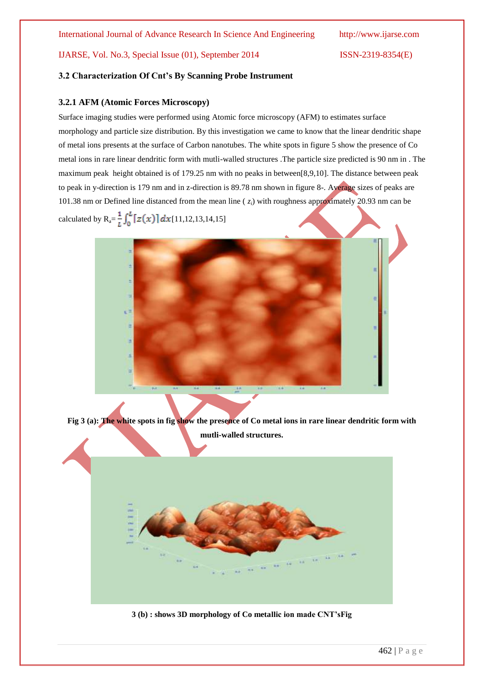#### **3.2 Characterization Of Cnt's By Scanning Probe Instrument**

#### **3.2.1 AFM (Atomic Forces Microscopy)**

Surface imaging studies were performed using Atomic force microscopy (AFM) to estimates surface morphology and particle size distribution. By this investigation we came to know that the linear dendritic shape of metal ions presents at the surface of Carbon nanotubes. The white spots in figure 5 show the presence of Co metal ions in rare linear dendritic form with mutli-walled structures .The particle size predicted is 90 nm in . The maximum peak height obtained is of 179.25 nm with no peaks in between[8,9,10]. The distance between peak to peak in y-direction is 179 nm and in z-direction is 89.78 nm shown in figure 8-. Average sizes of peaks are 101.38 nm or Defined line distanced from the mean line ( *zi*) with roughness approximately 20.93 nm can be calculated by  $R_a = \frac{1}{L} \int_0^L [z(x)] dx$  [11,12,13,14,15]



**Fig 3 (a): The white spots in fig show the presence of Co metal ions in rare linear dendritic form with mutli-walled structures.**



**3 (b) : shows 3D morphology of Co metallic ion made CNT'sFig**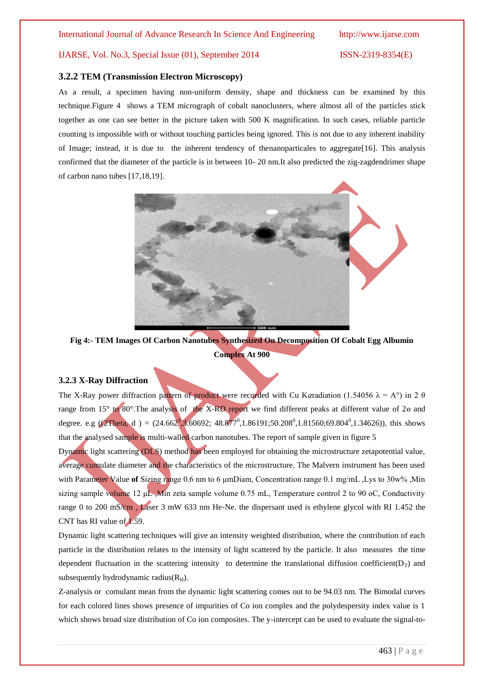#### **3.2.2 TEM (Transmission Electron Microscopy)**

As a result, a specimen having non-uniform density, shape and thickness can be examined by this technique.Figure 4 shows a TEM micrograph of cobalt nanoclusters, where almost all of the particles stick together as one can see better in the picture taken with 500 K magnification. In such cases, reliable particle counting is impossible with or without touching particles being ignored. This is not due to any inherent inability of Image; instead, it is due to the inherent tendency of thenanoparticales to aggregate[16]. This analysis confirmed that the diameter of the particle is in between 10- 20 nm.It also predicted the zig-zagdendrimer shape of carbon nano tubes [17,18,19].



**Fig 4:- TEM Images Of Carbon Nanotubes Synthesized On Decomposition Of Cobalt Egg Albumin Complex At 900**

#### **3.2.3 X-Ray Diffraction**

The X-Ray power diffraction pattern of product were recorded with Cu Karadiation (1.54056  $\lambda = A^{\circ}$ ) in 2  $\theta$ range from 15° to 80°.The analysis of the X-RD report we find different peaks at different value of 2ɵ and degree. e.g ((2Theta, d) =  $(24.662^0,3.60692; 48.877^0,1.86191;50.208^0,1.81560;69.804^0,1.34626)$ ), this shows that the analysed sample is multi-walled carbon nanotubes. The report of sample given in figure 5

Dynamic light scattering (DLS) method has been employed for obtaining the microstructure zetapotential value, average cumulate diameter and the characteristics of the microstructure. The Malvern instrument has been used with Parameter Value **of** Sizing range 0.6 nm to 6 μmDiam, Concentration range 0.1 mg/mL ,Lys to 30w% ,Min sizing sample volume 12 μL ,Min zeta sample volume 0.75 mL, Temperature control 2 to 90 oC, Conductivity range 0 to 200 mS/cm , Laser 3 mW 633 nm He-Ne. the dispersant used is ethylene glycol with RI 1.452 the CNT has RI value of 1.59.

Dynamic light scattering techniques will give an intensity weighted distribution, where the contribution of each particle in the distribution relates to the intensity of light scattered by the particle. It also measures the time dependent fluctuation in the scattering intensity to determine the translational diffusion coefficient( $D<sub>T</sub>$ ) and subsequently hydrodynamic radius( $R<sub>H</sub>$ ).

Z-analysis or comulant mean from the dynamic light scattering comes out to be 94.03 nm. The Bimodal curves for each colored lines shows presence of impurities of Co ion complex and the polydespersity index value is 1 which shows broad size distribution of Co ion composites. The y-intercept can be used to evaluate the signal-to-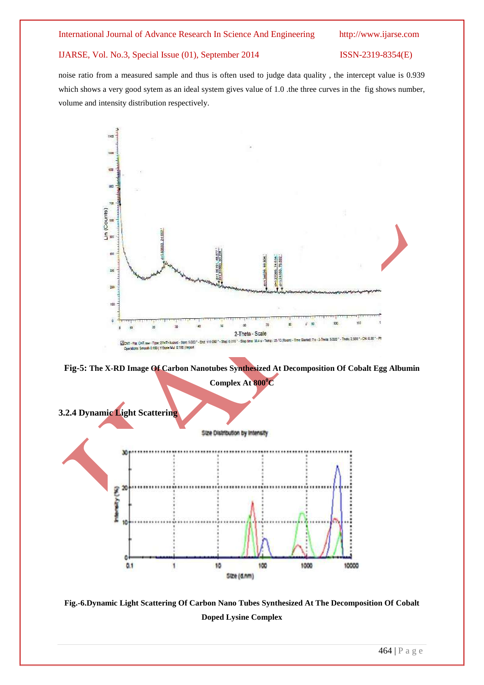noise ratio from a measured sample and thus is often used to judge data quality , the intercept value is 0.939 which shows a very good sytem as an ideal system gives value of 1.0 .the three curves in the fig shows number, volume and intensity distribution respectively.



**Fig-5: The X-RD Image Of Carbon Nanotubes Synthesized At Decomposition Of Cobalt Egg Albumin** 



**Fig.-6.Dynamic Light Scattering Of Carbon Nano Tubes Synthesized At The Decomposition Of Cobalt Doped Lysine Complex**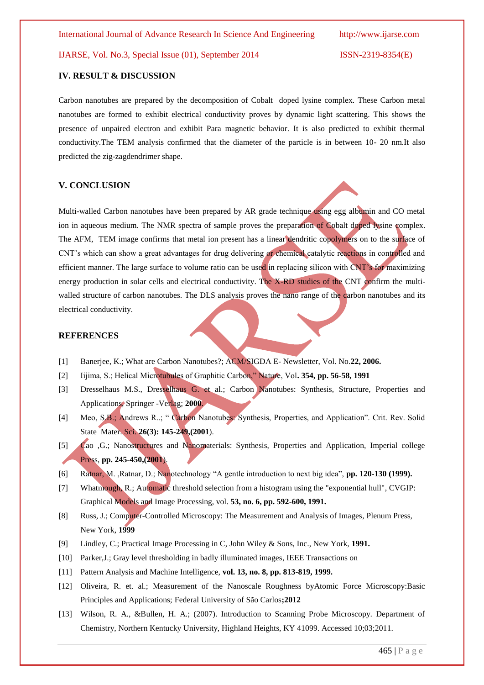#### **IV. RESULT & DISCUSSION**

Carbon nanotubes are prepared by the decomposition of Cobalt doped lysine complex. These Carbon metal nanotubes are formed to exhibit electrical conductivity proves by dynamic light scattering. This shows the presence of unpaired electron and exhibit Para magnetic behavior. It is also predicted to exhibit thermal conductivity.The TEM analysis confirmed that the diameter of the particle is in between 10- 20 nm.It also predicted the zig-zagdendrimer shape.

#### **V. CONCLUSION**

Multi-walled Carbon nanotubes have been prepared by AR grade technique using egg albumin and CO metal ion in aqueous medium. The NMR spectra of sample proves the preparation of Cobalt doped lysine complex. The AFM, TEM image confirms that metal ion present has a linear dendritic copolymers on to the surface of CNT's which can show a great advantages for drug delivering or chemical catalytic reactions in controlled and efficient manner. The large surface to volume ratio can be used in replacing silicon with CNT's for maximizing energy production in solar cells and electrical conductivity. The X-RD studies of the CNT confirm the multiwalled structure of carbon nanotubes. The DLS analysis proves the nano range of the carbon nanotubes and its electrical conductivity.

#### **REFERENCES**

- [1] Banerjee, K.; What are Carbon Nanotubes?; ACM/SIGDA E- Newsletter, Vol. No.**22, 2006.**
- [2] Iijima, S.; Helical Microtubules of Graphitic Carbon," Nature, Vol**. 354, pp. 56-58, 1991**
- [3] Dresselhaus M.S., Dresselhaus G. et al.; Carbon Nanotubes: Synthesis, Structure, Properties and Applications, Springer -Verlag; **2000**.
- [4] Meo, S.B.; Andrews R..; " Carbon Nanotubes: Synthesis, Properties, and Application". Crit. Rev. Solid State Mater. Sci. **26(3): 145-249,(2001**).
- [5] Cao ,G.; Nanostructures and Nanomaterials: Synthesis, Properties and Application, Imperial college Press, **pp. 245-450,(2001**).
- [6] Ratnar, M. ,Ratnar, D.; Nanotechnology "A gentle introduction to next big idea", **pp. 120-130 (1999).**
- [7] Whatmough, R.; Automatic threshold selection from a histogram using the "exponential hull", CVGIP: Graphical Models and Image Processing, vol. **53, no. 6, pp. 592-600, 1991.**
- [8] Russ, J.; Computer-Controlled Microscopy: The Measurement and Analysis of Images, Plenum Press, New York, **1999**
- [9] Lindley, C.; Practical Image Processing in C, John Wiley & Sons, Inc., New York, **1991.**
- [10] Parker,J.; Gray level thresholding in badly illuminated images, IEEE Transactions on
- [11] Pattern Analysis and Machine Intelligence, **vol. 13, no. 8, pp. 813-819, 1999.**
- [12] Oliveira, R. et. al.; Measurement of the Nanoscale Roughness byAtomic Force Microscopy:Basic Principles and Applications; Federal University of São Carlos**;2012**
- [13] Wilson, R. A., &Bullen, H. A.; (2007). Introduction to Scanning Probe Microscopy. Department of Chemistry, Northern Kentucky University, Highland Heights, KY 41099. Accessed 10;03;2011.